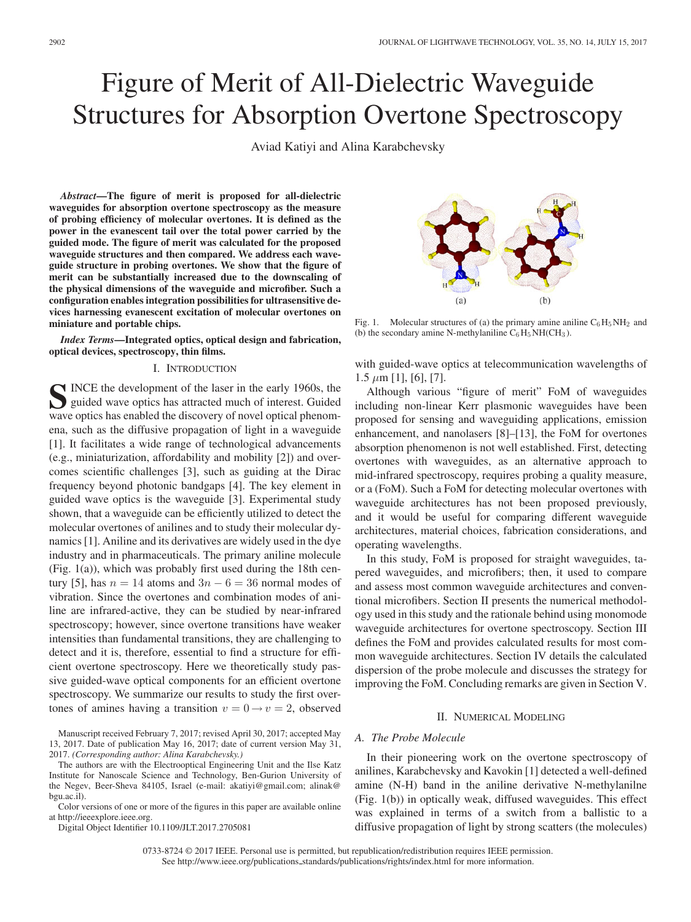# Figure of Merit of All-Dielectric Waveguide Structures for Absorption Overtone Spectroscopy

Aviad Katiyi and Alina Karabchevsky

*Abstract***—The figure of merit is proposed for all-dielectric waveguides for absorption overtone spectroscopy as the measure of probing efficiency of molecular overtones. It is defined as the power in the evanescent tail over the total power carried by the guided mode. The figure of merit was calculated for the proposed waveguide structures and then compared. We address each waveguide structure in probing overtones. We show that the figure of merit can be substantially increased due to the downscaling of the physical dimensions of the waveguide and microfiber. Such a configuration enables integration possibilities for ultrasensitive devices harnessing evanescent excitation of molecular overtones on miniature and portable chips.**

*Index Terms***—Integrated optics, optical design and fabrication, optical devices, spectroscopy, thin films.**

#### I. INTRODUCTION

**S**INCE the development of the laser in the early 1960s, the guided wave optics has attracted much of interest. Guided wave optics has enabled the discovery of novel optical phenomena, such as the diffusive propagation of light in a waveguide [1]. It facilitates a wide range of technological advancements (e.g., miniaturization, affordability and mobility [2]) and overcomes scientific challenges [3], such as guiding at the Dirac frequency beyond photonic bandgaps [4]. The key element in guided wave optics is the waveguide [3]. Experimental study shown, that a waveguide can be efficiently utilized to detect the molecular overtones of anilines and to study their molecular dynamics [1]. Aniline and its derivatives are widely used in the dye industry and in pharmaceuticals. The primary aniline molecule (Fig. 1(a)), which was probably first used during the 18th century [5], has  $n = 14$  atoms and  $3n - 6 = 36$  normal modes of vibration. Since the overtones and combination modes of aniline are infrared-active, they can be studied by near-infrared spectroscopy; however, since overtone transitions have weaker intensities than fundamental transitions, they are challenging to detect and it is, therefore, essential to find a structure for efficient overtone spectroscopy. Here we theoretically study passive guided-wave optical components for an efficient overtone spectroscopy. We summarize our results to study the first overtones of amines having a transition  $v = 0 \rightarrow v = 2$ , observed

Manuscript received February 7, 2017; revised April 30, 2017; accepted May 13, 2017. Date of publication May 16, 2017; date of current version May 31, 2017. *(Corresponding author: Alina Karabchevsky.)*

The authors are with the Electrooptical Engineering Unit and the Ilse Katz Institute for Nanoscale Science and Technology, Ben-Gurion University of the Negev, Beer-Sheva 84105, Israel (e-mail: akatiyi@gmail.com; alinak@ bgu.ac.il).

Color versions of one or more of the figures in this paper are available online at http://ieeexplore.ieee.org.

Digital Object Identifier 10.1109/JLT.2017.2705081



Fig. 1. Molecular structures of (a) the primary amine aniline  $C_6 H_5 NH_2$  and (b) the secondary amine N-methylaniline  $C_6H_5NH(CH_3)$ .

with guided-wave optics at telecommunication wavelengths of  $1.5 \ \mu m$  [1], [6], [7].

Although various "figure of merit" FoM of waveguides including non-linear Kerr plasmonic waveguides have been proposed for sensing and waveguiding applications, emission enhancement, and nanolasers [8]–[13], the FoM for overtones absorption phenomenon is not well established. First, detecting overtones with waveguides, as an alternative approach to mid-infrared spectroscopy, requires probing a quality measure, or a (FoM). Such a FoM for detecting molecular overtones with waveguide architectures has not been proposed previously, and it would be useful for comparing different waveguide architectures, material choices, fabrication considerations, and operating wavelengths.

In this study, FoM is proposed for straight waveguides, tapered waveguides, and microfibers; then, it used to compare and assess most common waveguide architectures and conventional microfibers. Section II presents the numerical methodology used in this study and the rationale behind using monomode waveguide architectures for overtone spectroscopy. Section III defines the FoM and provides calculated results for most common waveguide architectures. Section IV details the calculated dispersion of the probe molecule and discusses the strategy for improving the FoM. Concluding remarks are given in Section V.

## II. NUMERICAL MODELING

## *A. The Probe Molecule*

In their pioneering work on the overtone spectroscopy of anilines, Karabchevsky and Kavokin [1] detected a well-defined amine (N-H) band in the aniline derivative N-methylanilne (Fig. 1(b)) in optically weak, diffused waveguides. This effect was explained in terms of a switch from a ballistic to a diffusive propagation of light by strong scatters (the molecules)

0733-8724 © 2017 IEEE. Personal use is permitted, but republication/redistribution requires IEEE permission. See http://www.ieee.org/publications standards/publications/rights/index.html for more information.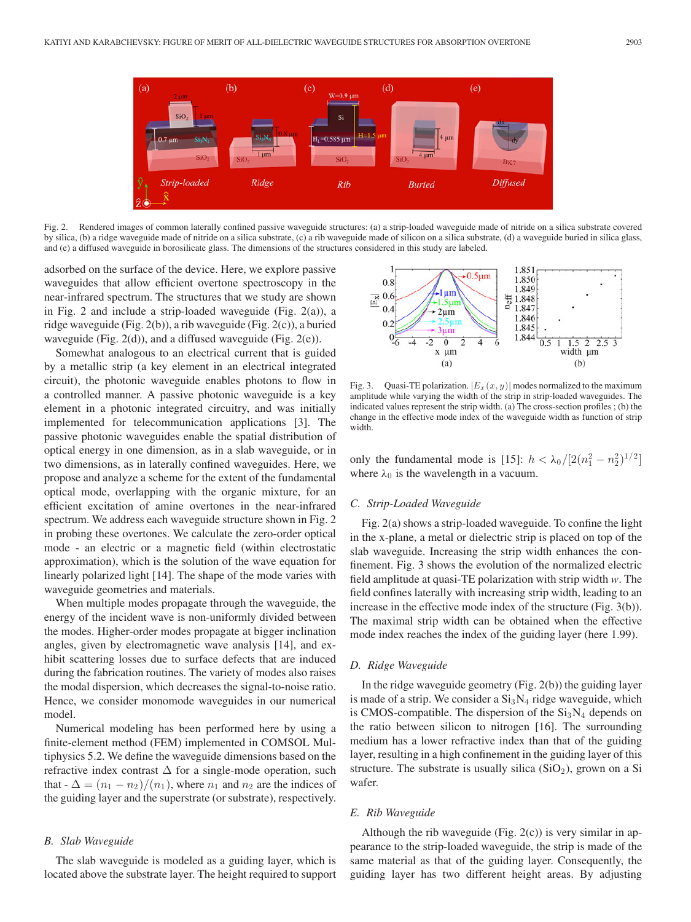

Fig. 2. Rendered images of common laterally confined passive waveguide structures: (a) a strip-loaded waveguide made of nitride on a silica substrate covered by silica, (b) a ridge waveguide made of nitride on a silica substrate, (c) a rib waveguide made of silicon on a silica substrate, (d) a waveguide buried in silica glass, and (e) a diffused waveguide in borosilicate glass. The dimensions of the structures considered in this study are labeled.

adsorbed on the surface of the device. Here, we explore passive waveguides that allow efficient overtone spectroscopy in the near-infrared spectrum. The structures that we study are shown in Fig. 2 and include a strip-loaded waveguide (Fig. 2(a)), a ridge waveguide (Fig. 2(b)), a rib waveguide (Fig. 2(c)), a buried waveguide (Fig. 2(d)), and a diffused waveguide (Fig. 2(e)).

Somewhat analogous to an electrical current that is guided by a metallic strip (a key element in an electrical integrated circuit), the photonic waveguide enables photons to flow in a controlled manner. A passive photonic waveguide is a key element in a photonic integrated circuitry, and was initially implemented for telecommunication applications [3]. The passive photonic waveguides enable the spatial distribution of optical energy in one dimension, as in a slab waveguide, or in two dimensions, as in laterally confined waveguides. Here, we propose and analyze a scheme for the extent of the fundamental optical mode, overlapping with the organic mixture, for an efficient excitation of amine overtones in the near-infrared spectrum. We address each waveguide structure shown in Fig. 2 in probing these overtones. We calculate the zero-order optical mode - an electric or a magnetic field (within electrostatic approximation), which is the solution of the wave equation for linearly polarized light [14]. The shape of the mode varies with waveguide geometries and materials.

When multiple modes propagate through the waveguide, the energy of the incident wave is non-uniformly divided between the modes. Higher-order modes propagate at bigger inclination angles, given by electromagnetic wave analysis [14], and exhibit scattering losses due to surface defects that are induced during the fabrication routines. The variety of modes also raises the modal dispersion, which decreases the signal-to-noise ratio. Hence, we consider monomode waveguides in our numerical model.

Numerical modeling has been performed here by using a finite-element method (FEM) implemented in COMSOL Multiphysics 5.2. We define the waveguide dimensions based on the refractive index contrast  $\Delta$  for a single-mode operation, such that -  $\Delta = (n_1 - n_2)/(n_1)$ , where  $n_1$  and  $n_2$  are the indices of the guiding layer and the superstrate (or substrate), respectively.

### *B. Slab Waveguide*

The slab waveguide is modeled as a guiding layer, which is located above the substrate layer. The height required to support



Fig. 3. Quasi-TE polarization.  $|E_x(x, y)|$  modes normalized to the maximum amplitude while varying the width of the strip in strip-loaded waveguides. The indicated values represent the strip width. (a) The cross-section profiles ; (b) the change in the effective mode index of the waveguide width as function of strip width.

only the fundamental mode is [15]:  $h < \lambda_0/[2(n_1^2 - n_2^2)^{1/2}]$ where  $\lambda_0$  is the wavelength in a vacuum.

## *C. Strip-Loaded Waveguide*

Fig. 2(a) shows a strip-loaded waveguide. To confine the light in the x-plane, a metal or dielectric strip is placed on top of the slab waveguide. Increasing the strip width enhances the confinement. Fig. 3 shows the evolution of the normalized electric field amplitude at quasi-TE polarization with strip width *w*. The field confines laterally with increasing strip width, leading to an increase in the effective mode index of the structure (Fig. 3(b)). The maximal strip width can be obtained when the effective mode index reaches the index of the guiding layer (here 1.99).

### *D. Ridge Waveguide*

In the ridge waveguide geometry (Fig. 2(b)) the guiding layer is made of a strip. We consider a  $Si<sub>3</sub>N<sub>4</sub>$  ridge waveguide, which is CMOS-compatible. The dispersion of the  $Si<sub>3</sub>N<sub>4</sub>$  depends on the ratio between silicon to nitrogen [16]. The surrounding medium has a lower refractive index than that of the guiding layer, resulting in a high confinement in the guiding layer of this structure. The substrate is usually silica  $(SiO<sub>2</sub>)$ , grown on a Si wafer.

## *E. Rib Waveguide*

Although the rib waveguide (Fig. 2(c)) is very similar in appearance to the strip-loaded waveguide, the strip is made of the same material as that of the guiding layer. Consequently, the guiding layer has two different height areas. By adjusting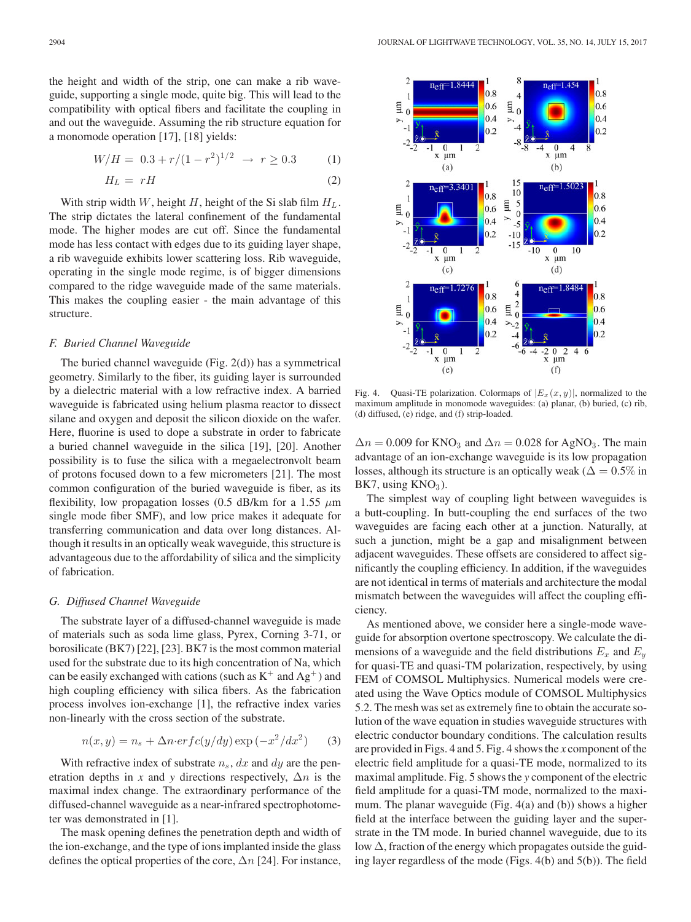the height and width of the strip, one can make a rib waveguide, supporting a single mode, quite big. This will lead to the compatibility with optical fibers and facilitate the coupling in and out the waveguide. Assuming the rib structure equation for a monomode operation [17], [18] yields:

$$
W/H = 0.3 + r/(1 - r^2)^{1/2} \rightarrow r \ge 0.3
$$
 (1)

$$
H_L = rH \tag{2}
$$

With strip width W, height H, height of the Si slab film  $H_L$ . The strip dictates the lateral confinement of the fundamental mode. The higher modes are cut off. Since the fundamental mode has less contact with edges due to its guiding layer shape, a rib waveguide exhibits lower scattering loss. Rib waveguide, operating in the single mode regime, is of bigger dimensions compared to the ridge waveguide made of the same materials. This makes the coupling easier - the main advantage of this structure.

## *F. Buried Channel Waveguide*

The buried channel waveguide (Fig. 2(d)) has a symmetrical geometry. Similarly to the fiber, its guiding layer is surrounded by a dielectric material with a low refractive index. A barried waveguide is fabricated using helium plasma reactor to dissect silane and oxygen and deposit the silicon dioxide on the wafer. Here, fluorine is used to dope a substrate in order to fabricate a buried channel waveguide in the silica [19], [20]. Another possibility is to fuse the silica with a megaelectronvolt beam of protons focused down to a few micrometers [21]. The most common configuration of the buried waveguide is fiber, as its flexibility, low propagation losses (0.5 dB/km for a 1.55  $\mu$ m single mode fiber SMF), and low price makes it adequate for transferring communication and data over long distances. Although it results in an optically weak waveguide, this structure is advantageous due to the affordability of silica and the simplicity of fabrication.

## *G. Diffused Channel Waveguide*

The substrate layer of a diffused-channel waveguide is made of materials such as soda lime glass, Pyrex, Corning 3-71, or borosilicate (BK7) [22], [23]. BK7 is the most common material used for the substrate due to its high concentration of Na, which can be easily exchanged with cations (such as  $K^+$  and  $Ag^+$ ) and high coupling efficiency with silica fibers. As the fabrication process involves ion-exchange [1], the refractive index varies non-linearly with the cross section of the substrate.

$$
n(x, y) = n_s + \Delta n \cdot erf \, c(y/dy) \exp\left(-x^2/dx^2\right) \tag{3}
$$

With refractive index of substrate  $n_s$ , dx and dy are the penetration depths in *x* and *y* directions respectively,  $\Delta n$  is the maximal index change. The extraordinary performance of the diffused-channel waveguide as a near-infrared spectrophotometer was demonstrated in [1].

The mask opening defines the penetration depth and width of the ion-exchange, and the type of ions implanted inside the glass defines the optical properties of the core,  $\Delta n$  [24]. For instance,



Fig. 4. Quasi-TE polarization. Colormaps of  $|E_x(x, y)|$ , normalized to the maximum amplitude in monomode waveguides: (a) planar, (b) buried, (c) rib, (d) diffused, (e) ridge, and (f) strip-loaded.

 $\Delta n = 0.009$  for KNO<sub>3</sub> and  $\Delta n = 0.028$  for AgNO<sub>3</sub>. The main advantage of an ion-exchange waveguide is its low propagation losses, although its structure is an optically weak ( $\Delta = 0.5\%$  in BK7, using  $KNO<sub>3</sub>$ ).

The simplest way of coupling light between waveguides is a butt-coupling. In butt-coupling the end surfaces of the two waveguides are facing each other at a junction. Naturally, at such a junction, might be a gap and misalignment between adjacent waveguides. These offsets are considered to affect significantly the coupling efficiency. In addition, if the waveguides are not identical in terms of materials and architecture the modal mismatch between the waveguides will affect the coupling efficiency.

As mentioned above, we consider here a single-mode waveguide for absorption overtone spectroscopy. We calculate the dimensions of a waveguide and the field distributions  $E_x$  and  $E_y$ for quasi-TE and quasi-TM polarization, respectively, by using FEM of COMSOL Multiphysics. Numerical models were created using the Wave Optics module of COMSOL Multiphysics 5.2. The mesh was set as extremely fine to obtain the accurate solution of the wave equation in studies waveguide structures with electric conductor boundary conditions. The calculation results are provided in Figs. 4 and 5. Fig. 4 shows the *x* component of the electric field amplitude for a quasi-TE mode, normalized to its maximal amplitude. Fig. 5 shows the *y* component of the electric field amplitude for a quasi-TM mode, normalized to the maximum. The planar waveguide (Fig. 4(a) and (b)) shows a higher field at the interface between the guiding layer and the superstrate in the TM mode. In buried channel waveguide, due to its low  $\Delta$ , fraction of the energy which propagates outside the guiding layer regardless of the mode (Figs. 4(b) and 5(b)). The field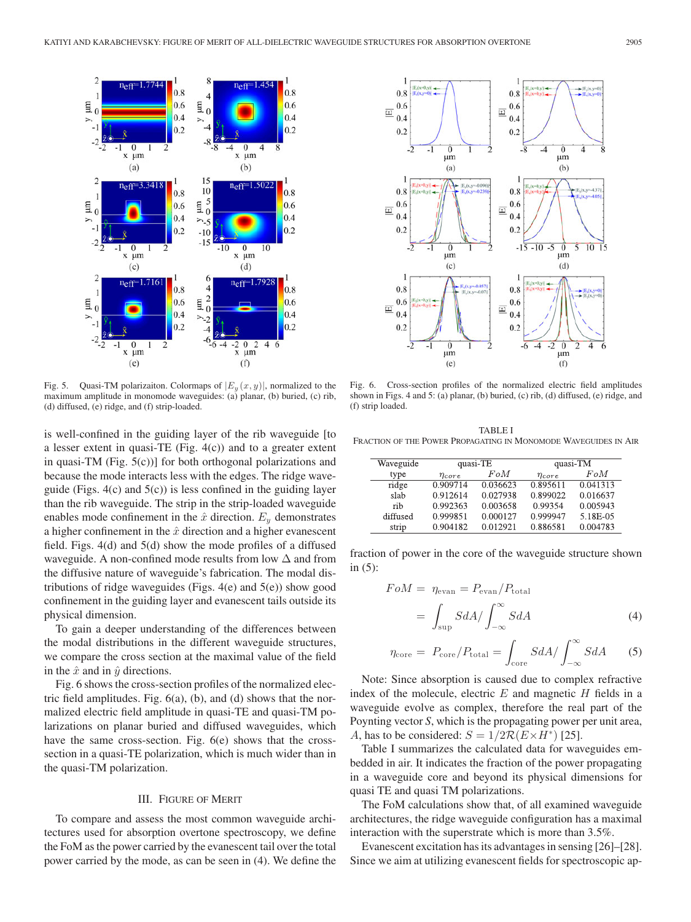

Fig. 5. Quasi-TM polarizaiton. Colormaps of  $|E_y(x, y)|$ , normalized to the maximum amplitude in monomode waveguides: (a) planar, (b) buried, (c) rib, (d) diffused, (e) ridge, and (f) strip-loaded.

is well-confined in the guiding layer of the rib waveguide [to a lesser extent in quasi-TE (Fig. 4(c)) and to a greater extent in quasi-TM (Fig. 5(c))] for both orthogonal polarizations and because the mode interacts less with the edges. The ridge waveguide (Figs.  $4(c)$  and  $5(c)$ ) is less confined in the guiding layer than the rib waveguide. The strip in the strip-loaded waveguide enables mode confinement in the  $\hat{x}$  direction.  $E_y$  demonstrates a higher confinement in the  $\hat{x}$  direction and a higher evanescent field. Figs. 4(d) and 5(d) show the mode profiles of a diffused waveguide. A non-confined mode results from low  $\Delta$  and from the diffusive nature of waveguide's fabrication. The modal distributions of ridge waveguides (Figs. 4(e) and 5(e)) show good confinement in the guiding layer and evanescent tails outside its physical dimension.

To gain a deeper understanding of the differences between the modal distributions in the different waveguide structures, we compare the cross section at the maximal value of the field in the  $\hat{x}$  and in  $\hat{y}$  directions.

Fig. 6 shows the cross-section profiles of the normalized electric field amplitudes. Fig. 6(a), (b), and (d) shows that the normalized electric field amplitude in quasi-TE and quasi-TM polarizations on planar buried and diffused waveguides, which have the same cross-section. Fig. 6(e) shows that the crosssection in a quasi-TE polarization, which is much wider than in the quasi-TM polarization.

## III. FIGURE OF MERIT

To compare and assess the most common waveguide architectures used for absorption overtone spectroscopy, we define the FoM as the power carried by the evanescent tail over the total power carried by the mode, as can be seen in (4). We define the



Fig. 6. Cross-section profiles of the normalized electric field amplitudes shown in Figs. 4 and 5: (a) planar, (b) buried, (c) rib, (d) diffused, (e) ridge, and (f) strip loaded.

TABLE I FRACTION OF THE POWER PROPAGATING IN MONOMODE WAVEGUIDES IN AIR

| Waveguide | quasi-TE      |          | quasi-TM      |          |
|-----------|---------------|----------|---------------|----------|
| type      | $\eta_{core}$ | FoM      | $\eta_{core}$ | FoM      |
| ridge     | 0.909714      | 0.036623 | 0.895611      | 0.041313 |
| slab      | 0.912614      | 0.027938 | 0.899022      | 0.016637 |
| rib       | 0.992363      | 0.003658 | 0.99354       | 0.005943 |
| diffused  | 0.999851      | 0.000127 | 0.999947      | 5.18E-05 |
| strip     | 0.904182      | 0.012921 | 0.886581      | 0.004783 |

fraction of power in the core of the waveguide structure shown in (5):

$$
FoM = \eta_{\text{evan}} = P_{\text{evan}} / P_{\text{total}}
$$

$$
= \int_{\text{sup}} S dA / \int_{-\infty}^{\infty} S dA \tag{4}
$$

$$
\eta_{\text{core}} = P_{\text{core}} / P_{\text{total}} = \int_{\text{core}} S dA / \int_{-\infty}^{\infty} S dA \qquad (5)
$$

Note: Since absorption is caused due to complex refractive index of the molecule, electric  $E$  and magnetic  $H$  fields in a waveguide evolve as complex, therefore the real part of the Poynting vector *S*, which is the propagating power per unit area, A, has to be considered:  $S = 1/2\mathcal{R}(E \times H^*)$  [25].

Table I summarizes the calculated data for waveguides embedded in air. It indicates the fraction of the power propagating in a waveguide core and beyond its physical dimensions for quasi TE and quasi TM polarizations.

The FoM calculations show that, of all examined waveguide architectures, the ridge waveguide configuration has a maximal interaction with the superstrate which is more than 3.5%.

Evanescent excitation has its advantages in sensing [26]–[28]. Since we aim at utilizing evanescent fields for spectroscopic ap-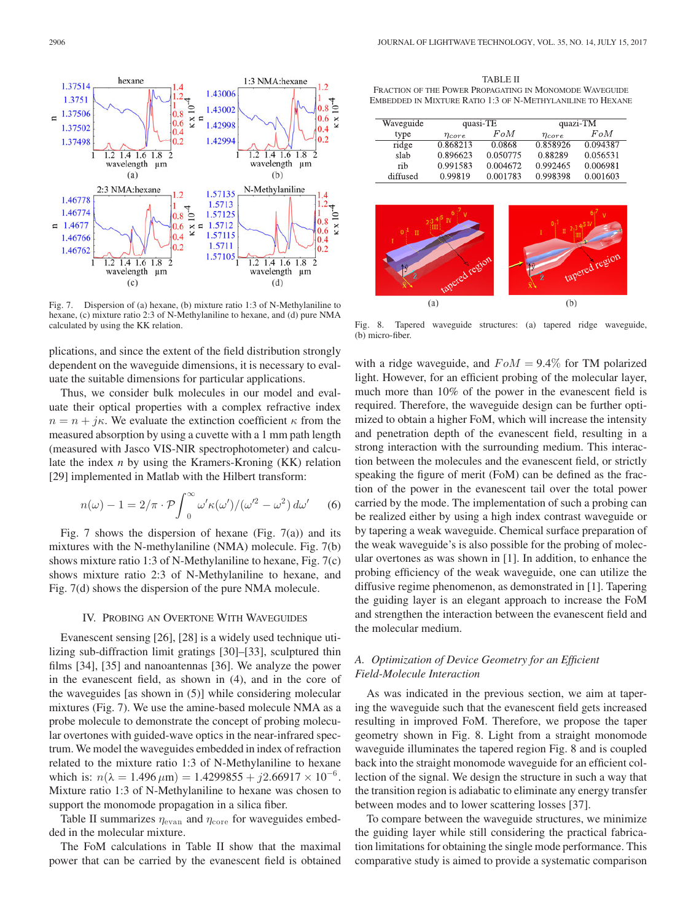

Fig. 7. Dispersion of (a) hexane, (b) mixture ratio 1:3 of N-Methylaniline to hexane, (c) mixture ratio 2:3 of N-Methylaniline to hexane, and (d) pure NMA calculated by using the KK relation.

plications, and since the extent of the field distribution strongly dependent on the waveguide dimensions, it is necessary to evaluate the suitable dimensions for particular applications.

Thus, we consider bulk molecules in our model and evaluate their optical properties with a complex refractive index  $n = n + j\kappa$ . We evaluate the extinction coefficient  $\kappa$  from the measured absorption by using a cuvette with a 1 mm path length (measured with Jasco VIS-NIR spectrophotometer) and calculate the index *n* by using the Kramers-Kroning (KK) relation [29] implemented in Matlab with the Hilbert transform:

$$
n(\omega) - 1 = 2/\pi \cdot \mathcal{P} \int_0^\infty \omega' \kappa(\omega')/(\omega'^2 - \omega^2) d\omega' \qquad (6)
$$

Fig. 7 shows the dispersion of hexane (Fig.  $7(a)$ ) and its mixtures with the N-methylaniline (NMA) molecule. Fig. 7(b) shows mixture ratio 1:3 of N-Methylaniline to hexane, Fig. 7(c) shows mixture ratio 2:3 of N-Methylaniline to hexane, and Fig. 7(d) shows the dispersion of the pure NMA molecule.

## IV. PROBING AN OVERTONE WITH WAVEGUIDES

Evanescent sensing [26], [28] is a widely used technique utilizing sub-diffraction limit gratings [30]–[33], sculptured thin films [34], [35] and nanoantennas [36]. We analyze the power in the evanescent field, as shown in (4), and in the core of the waveguides [as shown in (5)] while considering molecular mixtures (Fig. 7). We use the amine-based molecule NMA as a probe molecule to demonstrate the concept of probing molecular overtones with guided-wave optics in the near-infrared spectrum. We model the waveguides embedded in index of refraction related to the mixture ratio 1:3 of N-Methylaniline to hexane which is:  $n(\lambda = 1.496 \,\mu\text{m}) = 1.4299855 + i2.66917 \times 10^{-6}$ . Mixture ratio 1:3 of N-Methylaniline to hexane was chosen to support the monomode propagation in a silica fiber.

Table II summarizes  $\eta_{\text{evan}}$  and  $\eta_{\text{core}}$  for waveguides embedded in the molecular mixture.

The FoM calculations in Table II show that the maximal power that can be carried by the evanescent field is obtained

TABLE II FRACTION OF THE POWER PROPAGATING IN MONOMODE WAVEGUIDE EMBEDDED IN MIXTURE RATIO 1:3 OF N-METHYLANILINE TO HEXANE

| quasi-TE      |          | quazi-TM      |          |
|---------------|----------|---------------|----------|
| $\eta_{core}$ | FoM      | $\eta_{core}$ | FoM      |
| 0.868213      | 0.0868   | 0.858926      | 0.094387 |
| 0.896623      | 0.050775 | 0.88289       | 0.056531 |
| 0.991583      | 0.004672 | 0.992465      | 0.006981 |
| 0.99819       | 0.001783 | 0.998398      | 0.001603 |
|               |          |               |          |



Fig. 8. Tapered waveguide structures: (a) tapered ridge waveguide, (b) micro-fiber.

with a ridge waveguide, and  $FoM = 9.4\%$  for TM polarized light. However, for an efficient probing of the molecular layer, much more than 10% of the power in the evanescent field is required. Therefore, the waveguide design can be further optimized to obtain a higher FoM, which will increase the intensity and penetration depth of the evanescent field, resulting in a strong interaction with the surrounding medium. This interaction between the molecules and the evanescent field, or strictly speaking the figure of merit (FoM) can be defined as the fraction of the power in the evanescent tail over the total power carried by the mode. The implementation of such a probing can be realized either by using a high index contrast waveguide or by tapering a weak waveguide. Chemical surface preparation of the weak waveguide's is also possible for the probing of molecular overtones as was shown in [1]. In addition, to enhance the probing efficiency of the weak waveguide, one can utilize the diffusive regime phenomenon, as demonstrated in [1]. Tapering the guiding layer is an elegant approach to increase the FoM and strengthen the interaction between the evanescent field and the molecular medium.

## *A. Optimization of Device Geometry for an Efficient Field-Molecule Interaction*

As was indicated in the previous section, we aim at tapering the waveguide such that the evanescent field gets increased resulting in improved FoM. Therefore, we propose the taper geometry shown in Fig. 8. Light from a straight monomode waveguide illuminates the tapered region Fig. 8 and is coupled back into the straight monomode waveguide for an efficient collection of the signal. We design the structure in such a way that the transition region is adiabatic to eliminate any energy transfer between modes and to lower scattering losses [37].

To compare between the waveguide structures, we minimize the guiding layer while still considering the practical fabrication limitations for obtaining the single mode performance. This comparative study is aimed to provide a systematic comparison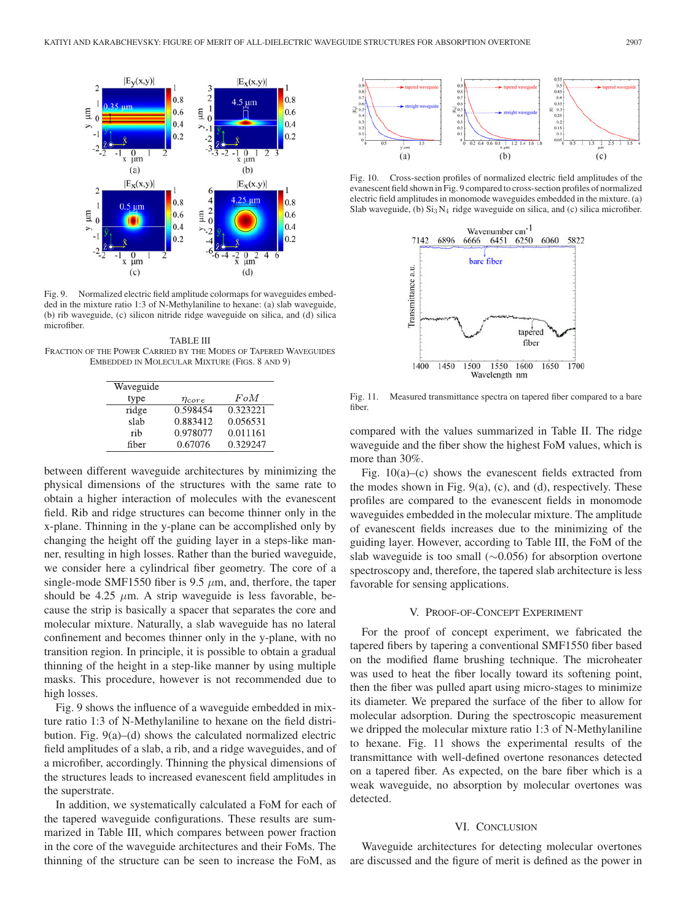

Fig. 9. Normalized electric field amplitude colormaps for waveguides embedded in the mixture ratio 1:3 of N-Methylaniline to hexane: (a) slab waveguide, (b) rib waveguide, (c) silicon nitride ridge waveguide on silica, and (d) silica microfiber.

TABLE III FRACTION OF THE POWER CARRIED BY THE MODES OF TAPERED WAVEGUIDES EMBEDDED IN MOLECULAR MIXTURE (FIGS. 8 AND 9)

| Waveguide |               |          |
|-----------|---------------|----------|
| type      | $\eta_{core}$ | FoM      |
| ridge     | 0.598454      | 0.323221 |
| slab      | 0.883412      | 0.056531 |
| rih       | 0.978077      | 0.011161 |
| fiber     | 0.67076       | 0.329247 |

between different waveguide architectures by minimizing the physical dimensions of the structures with the same rate to obtain a higher interaction of molecules with the evanescent field. Rib and ridge structures can become thinner only in the x-plane. Thinning in the y-plane can be accomplished only by changing the height off the guiding layer in a steps-like manner, resulting in high losses. Rather than the buried waveguide, we consider here a cylindrical fiber geometry. The core of a single-mode SMF1550 fiber is 9.5  $\mu$ m, and, therfore, the taper should be 4.25  $\mu$ m. A strip waveguide is less favorable, because the strip is basically a spacer that separates the core and molecular mixture. Naturally, a slab waveguide has no lateral confinement and becomes thinner only in the y-plane, with no transition region. In principle, it is possible to obtain a gradual thinning of the height in a step-like manner by using multiple masks. This procedure, however is not recommended due to high losses.

Fig. 9 shows the influence of a waveguide embedded in mixture ratio 1:3 of N-Methylaniline to hexane on the field distribution. Fig. 9(a)–(d) shows the calculated normalized electric field amplitudes of a slab, a rib, and a ridge waveguides, and of a microfiber, accordingly. Thinning the physical dimensions of the structures leads to increased evanescent field amplitudes in the superstrate.

In addition, we systematically calculated a FoM for each of the tapered waveguide configurations. These results are summarized in Table III, which compares between power fraction in the core of the waveguide architectures and their FoMs. The thinning of the structure can be seen to increase the FoM, as



Fig. 10. Cross-section profiles of normalized electric field amplitudes of the evanescent field shown in Fig. 9 compared to cross-section profiles of normalized electric field amplitudes in monomode waveguides embedded in the mixture. (a) Slab waveguide, (b)  $Si<sub>3</sub>N<sub>4</sub>$  ridge waveguide on silica, and (c) silica microfiber.



Fig. 11. Measured transmittance spectra on tapered fiber compared to a bare fiber.

compared with the values summarized in Table II. The ridge waveguide and the fiber show the highest FoM values, which is more than 30%.

Fig. 10(a)–(c) shows the evanescent fields extracted from the modes shown in Fig. 9(a), (c), and (d), respectively. These profiles are compared to the evanescent fields in monomode waveguides embedded in the molecular mixture. The amplitude of evanescent fields increases due to the minimizing of the guiding layer. However, according to Table III, the FoM of the slab waveguide is too small (∼0.056) for absorption overtone spectroscopy and, therefore, the tapered slab architecture is less favorable for sensing applications.

## V. PROOF-OF-CONCEPT EXPERIMENT

For the proof of concept experiment, we fabricated the tapered fibers by tapering a conventional SMF1550 fiber based on the modified flame brushing technique. The microheater was used to heat the fiber locally toward its softening point, then the fiber was pulled apart using micro-stages to minimize its diameter. We prepared the surface of the fiber to allow for molecular adsorption. During the spectroscopic measurement we dripped the molecular mixture ratio 1:3 of N-Methylaniline to hexane. Fig. 11 shows the experimental results of the transmittance with well-defined overtone resonances detected on a tapered fiber. As expected, on the bare fiber which is a weak waveguide, no absorption by molecular overtones was detected.

## VI. CONCLUSION

Waveguide architectures for detecting molecular overtones are discussed and the figure of merit is defined as the power in